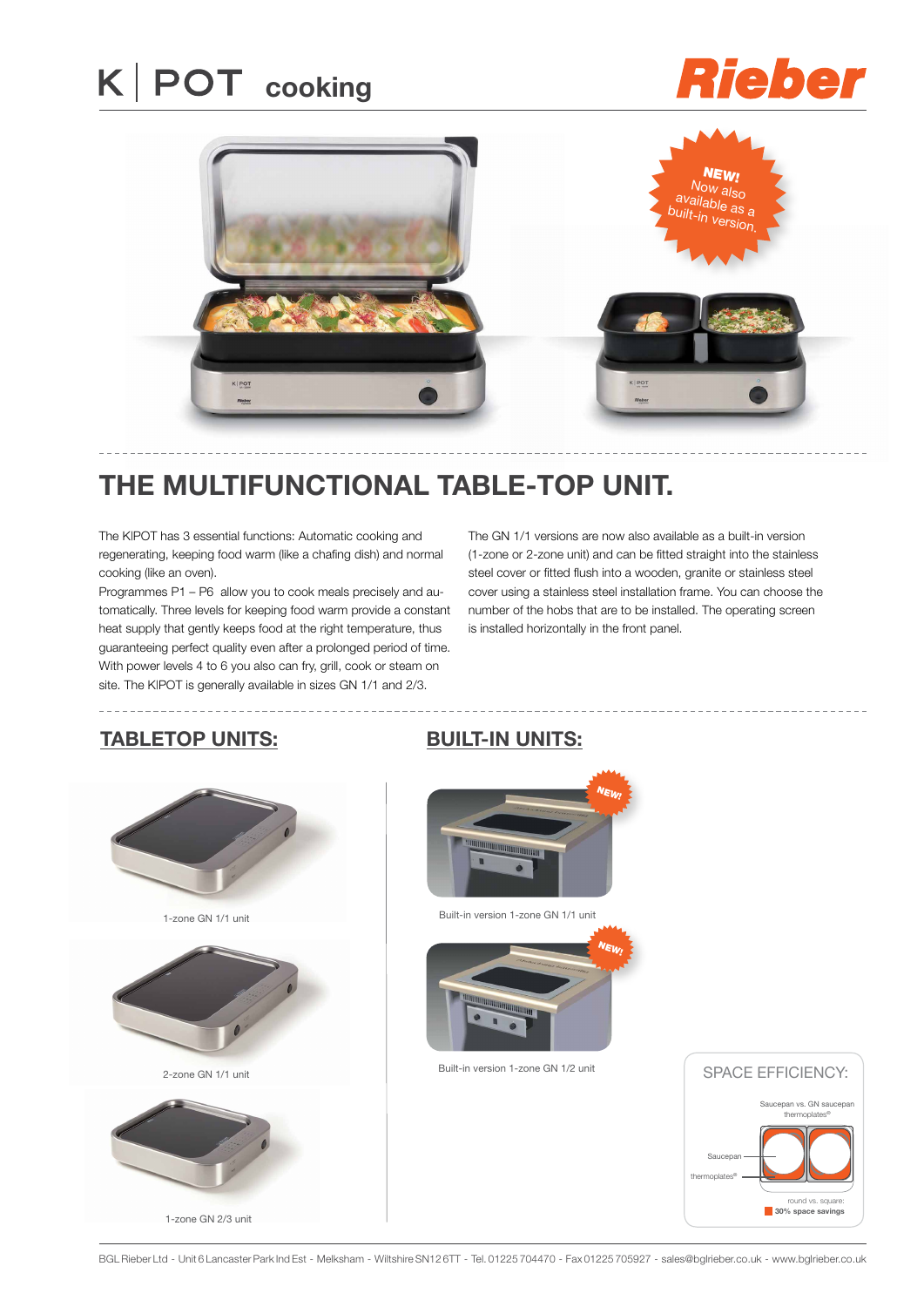# **K** | POT cooking

## **Rieber**



### **the multifunctional table-top unit.**

The K|POT has 3 essential functions: Automatic cooking and regenerating, keeping food warm (like a chafing dish) and normal cooking (like an oven).

Programmes P1 – P6 allow you to cook meals precisely and automatically. Three levels for keeping food warm provide a constant heat supply that gently keeps food at the right temperature, thus guaranteeing perfect quality even after a prolonged period of time. With power levels 4 to 6 you also can fry, grill, cook or steam on site. The K|POT is generally available in sizes GN 1/1 and 2/3.

The GN 1/1 versions are now also available as a built-in version (1-zone or 2-zone unit) and can be fitted straight into the stainless steel cover or fitted flush into a wooden, granite or stainless steel cover using a stainless steel installation frame. You can choose the number of the hobs that are to be installed. The operating screen is installed horizontally in the front panel.

#### **TABLETOP UNITS:**



**BUILT-IN UNITS:**



Built-in version 1-zone GN 1/1 unit



Built-in version 1-zone GN 1/2 unit



BGL Rieber Ltd - Unit 6 Lancaster Park Ind Est - Melksham - Wiltshire SN12 6TT - Tel. 01225 704470 - Fax 01225 705927 - sales@bglrieber.co.uk - www.bglrieber.co.uk